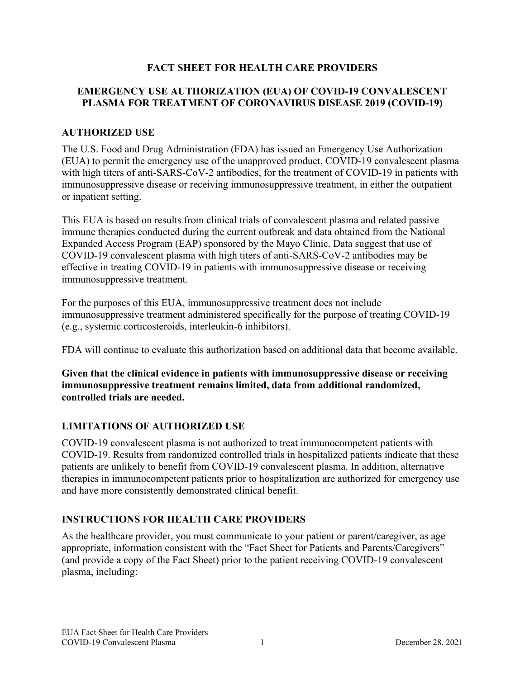## **FACT SHEET FOR HEALTH CARE PROVIDERS**

## **EMERGENCY USE AUTHORIZATION (EUA) OF COVID-19 CONVALESCENT PLASMA FOR TREATMENT OF CORONAVIRUS DISEASE 2019 (COVID-19)**

## **AUTHORIZED USE**

The U.S. Food and Drug Administration (FDA) has issued an Emergency Use Authorization (EUA) to permit the emergency use of the unapproved product, COVID-19 convalescent plasma with high titers of anti-SARS-CoV-2 antibodies, for the treatment of COVID-19 in patients with immunosuppressive disease or receiving immunosuppressive treatment, in either the outpatient or inpatient setting.

This EUA is based on results from clinical trials of convalescent plasma and related passive immune therapies conducted during the current outbreak and data obtained from the National Expanded Access Program (EAP) sponsored by the Mayo Clinic. Data suggest that use of COVID-19 convalescent plasma with high titers of anti-SARS-CoV-2 antibodies may be effective in treating COVID-19 in patients with immunosuppressive disease or receiving immunosuppressive treatment.

For the purposes of this EUA, immunosuppressive treatment does not include immunosuppressive treatment administered specifically for the purpose of treating COVID-19 (e.g., systemic corticosteroids, interleukin-6 inhibitors).

FDA will continue to evaluate this authorization based on additional data that become available.

**Given that the clinical evidence in patients with immunosuppressive disease or receiving immunosuppressive treatment remains limited, data from additional randomized, controlled trials are needed.**

# **LIMITATIONS OF AUTHORIZED USE**

COVID-19 convalescent plasma is not authorized to treat immunocompetent patients with COVID-19. Results from randomized controlled trials in hospitalized patients indicate that these patients are unlikely to benefit from COVID-19 convalescent plasma. In addition, alternative therapies in immunocompetent patients prior to hospitalization are authorized for emergency use and have more consistently demonstrated clinical benefit.

## **INSTRUCTIONS FOR HEALTH CARE PROVIDERS**

As the healthcare provider, you must communicate to your patient or parent/caregiver, as age appropriate, information consistent with the "Fact Sheet for Patients and Parents/Caregivers" (and provide a copy of the Fact Sheet) prior to the patient receiving COVID-19 convalescent plasma, including: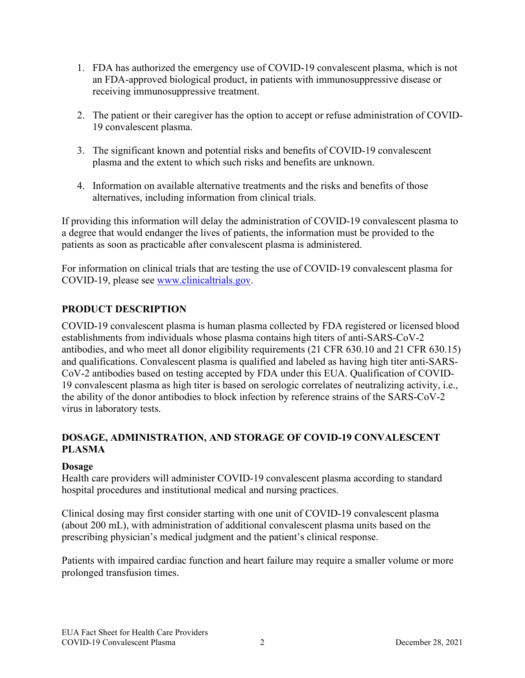- 1. FDA has authorized the emergency use of COVID-19 convalescent plasma, which is not an FDA-approved biological product, in patients with immunosuppressive disease or receiving immunosuppressive treatment.
- 2. The patient or their caregiver has the option to accept or refuse administration of COVID-19 convalescent plasma.
- 3. The significant known and potential risks and benefits of COVID-19 convalescent plasma and the extent to which such risks and benefits are unknown.
- 4. Information on available alternative treatments and the risks and benefits of those alternatives, including information from clinical trials.

If providing this information will delay the administration of COVID-19 convalescent plasma to a degree that would endanger the lives of patients, the information must be provided to the patients as soon as practicable after convalescent plasma is administered.

For information on clinical trials that are testing the use of COVID-19 convalescent plasma for COVID-19, please see www.clinicaltrials.gov.

# **PRODUCT DESCRIPTION**

COVID-19 convalescent plasma is human plasma collected by FDA registered or licensed blood establishments from individuals whose plasma contains high titers of anti-SARS-CoV-2 antibodies, and who meet all donor eligibility requirements (21 CFR 630.10 and 21 CFR 630.15) and qualifications. Convalescent plasma is qualified and labeled as having high titer anti-SARS-CoV-2 antibodies based on testing accepted by FDA under this EUA. Qualification of COVID-19 convalescent plasma as high titer is based on serologic correlates of neutralizing activity, i.e., the ability of the donor antibodies to block infection by reference strains of the SARS-CoV-2 virus in laboratory tests.

# **DOSAGE, ADMINISTRATION, AND STORAGE OF COVID-19 CONVALESCENT PLASMA**

## **Dosage**

Health care providers will administer COVID-19 convalescent plasma according to standard hospital procedures and institutional medical and nursing practices.

Clinical dosing may first consider starting with one unit of COVID-19 convalescent plasma (about 200 mL), with administration of additional convalescent plasma units based on the prescribing physician's medical judgment and the patient's clinical response.

Patients with impaired cardiac function and heart failure may require a smaller volume or more prolonged transfusion times.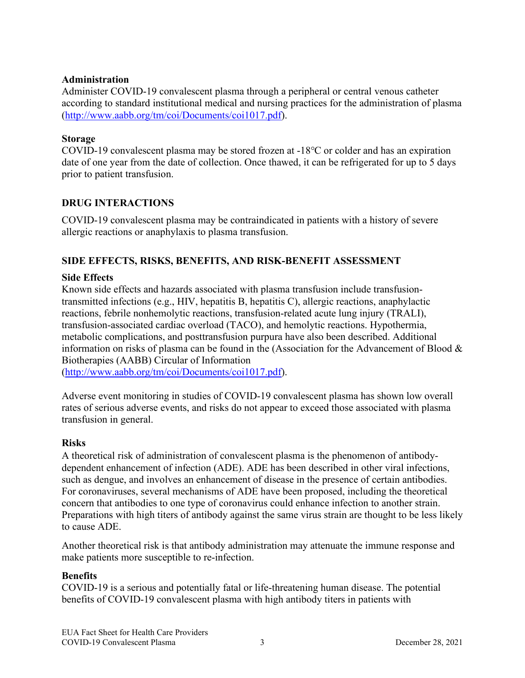## **Administration**

Administer COVID-19 convalescent plasma through a peripheral or central venous catheter according to standard institutional medical and nursing practices for the administration of plasma (http://www.aabb.org/tm/coi/Documents/coi1017.pdf).

### **Storage**

COVID-19 convalescent plasma may be stored frozen at -18℃ or colder and has an expiration date of one year from the date of collection. Once thawed, it can be refrigerated for up to 5 days prior to patient transfusion.

## **DRUG INTERACTIONS**

COVID-19 convalescent plasma may be contraindicated in patients with a history of severe allergic reactions or anaphylaxis to plasma transfusion.

## **SIDE EFFECTS, RISKS, BENEFITS, AND RISK-BENEFIT ASSESSMENT**

### **Side Effects**

Known side effects and hazards associated with plasma transfusion include transfusiontransmitted infections (e.g., HIV, hepatitis B, hepatitis C), allergic reactions, anaphylactic reactions, febrile nonhemolytic reactions, transfusion-related acute lung injury (TRALI), transfusion-associated cardiac overload (TACO), and hemolytic reactions. Hypothermia, metabolic complications, and posttransfusion purpura have also been described. Additional information on risks of plasma can be found in the (Association for the Advancement of Blood & Biotherapies (AABB) Circular of Information

(http://www.aabb.org/tm/coi/Documents/coi1017.pdf).

Adverse event monitoring in studies of COVID-19 convalescent plasma has shown low overall rates of serious adverse events, and risks do not appear to exceed those associated with plasma transfusion in general.

#### **Risks**

A theoretical risk of administration of convalescent plasma is the phenomenon of antibodydependent enhancement of infection (ADE). ADE has been described in other viral infections, such as dengue, and involves an enhancement of disease in the presence of certain antibodies. For coronaviruses, several mechanisms of ADE have been proposed, including the theoretical concern that antibodies to one type of coronavirus could enhance infection to another strain. Preparations with high titers of antibody against the same virus strain are thought to be less likely to cause ADE.

Another theoretical risk is that antibody administration may attenuate the immune response and make patients more susceptible to re-infection.

#### **Benefits**

COVID-19 is a serious and potentially fatal or life-threatening human disease. The potential benefits of COVID-19 convalescent plasma with high antibody titers in patients with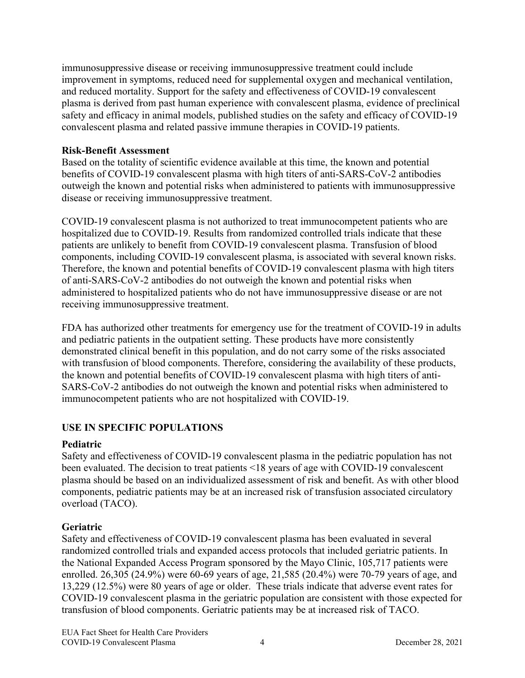immunosuppressive disease or receiving immunosuppressive treatment could include improvement in symptoms, reduced need for supplemental oxygen and mechanical ventilation, and reduced mortality. Support for the safety and effectiveness of COVID-19 convalescent plasma is derived from past human experience with convalescent plasma, evidence of preclinical safety and efficacy in animal models, published studies on the safety and efficacy of COVID-19 convalescent plasma and related passive immune therapies in COVID-19 patients.

### **Risk-Benefit Assessment**

Based on the totality of scientific evidence available at this time, the known and potential benefits of COVID-19 convalescent plasma with high titers of anti-SARS-CoV-2 antibodies outweigh the known and potential risks when administered to patients with immunosuppressive disease or receiving immunosuppressive treatment.

COVID-19 convalescent plasma is not authorized to treat immunocompetent patients who are hospitalized due to COVID-19. Results from randomized controlled trials indicate that these patients are unlikely to benefit from COVID-19 convalescent plasma. Transfusion of blood components, including COVID-19 convalescent plasma, is associated with several known risks. Therefore, the known and potential benefits of COVID-19 convalescent plasma with high titers of anti-SARS-CoV-2 antibodies do not outweigh the known and potential risks when administered to hospitalized patients who do not have immunosuppressive disease or are not receiving immunosuppressive treatment.

FDA has authorized other treatments for emergency use for the treatment of COVID-19 in adults and pediatric patients in the outpatient setting. These products have more consistently demonstrated clinical benefit in this population, and do not carry some of the risks associated with transfusion of blood components. Therefore, considering the availability of these products, the known and potential benefits of COVID-19 convalescent plasma with high titers of anti-SARS-CoV-2 antibodies do not outweigh the known and potential risks when administered to immunocompetent patients who are not hospitalized with COVID-19.

# **USE IN SPECIFIC POPULATIONS**

## **Pediatric**

Safety and effectiveness of COVID-19 convalescent plasma in the pediatric population has not been evaluated. The decision to treat patients <18 years of age with COVID-19 convalescent plasma should be based on an individualized assessment of risk and benefit. As with other blood components, pediatric patients may be at an increased risk of transfusion associated circulatory overload (TACO).

## **Geriatric**

Safety and effectiveness of COVID-19 convalescent plasma has been evaluated in several randomized controlled trials and expanded access protocols that included geriatric patients. In the National Expanded Access Program sponsored by the Mayo Clinic, 105,717 patients were enrolled. 26,305 (24.9%) were 60-69 years of age, 21,585 (20.4%) were 70-79 years of age, and 13,229 (12.5%) were 80 years of age or older. These trials indicate that adverse event rates for COVID-19 convalescent plasma in the geriatric population are consistent with those expected for transfusion of blood components. Geriatric patients may be at increased risk of TACO.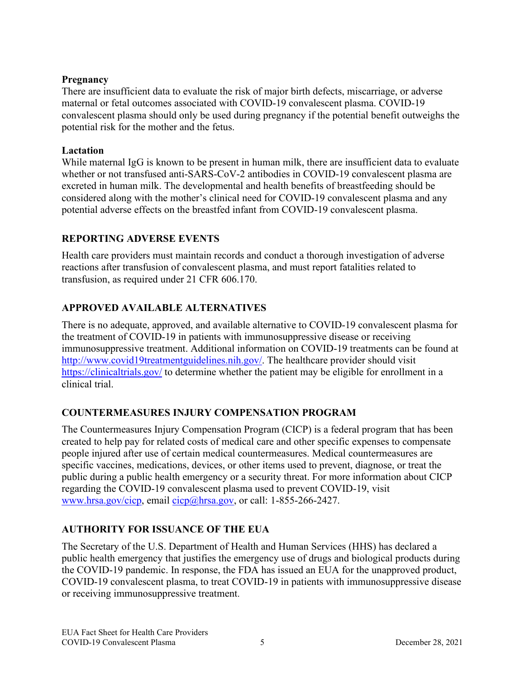## **Pregnancy**

There are insufficient data to evaluate the risk of major birth defects, miscarriage, or adverse maternal or fetal outcomes associated with COVID-19 convalescent plasma. COVID-19 convalescent plasma should only be used during pregnancy if the potential benefit outweighs the potential risk for the mother and the fetus.

## **Lactation**

While maternal IgG is known to be present in human milk, there are insufficient data to evaluate whether or not transfused anti-SARS-CoV-2 antibodies in COVID-19 convalescent plasma are excreted in human milk. The developmental and health benefits of breastfeeding should be considered along with the mother's clinical need for COVID-19 convalescent plasma and any potential adverse effects on the breastfed infant from COVID-19 convalescent plasma.

## **REPORTING ADVERSE EVENTS**

Health care providers must maintain records and conduct a thorough investigation of adverse reactions after transfusion of convalescent plasma, and must report fatalities related to transfusion, as required under 21 CFR 606.170.

# **APPROVED AVAILABLE ALTERNATIVES**

There is no adequate, approved, and available alternative to COVID-19 convalescent plasma for the treatment of COVID-19 in patients with immunosuppressive disease or receiving immunosuppressive treatment. Additional information on COVID-19 treatments can be found at http://www.covid19treatmentguidelines.nih.gov/. The healthcare provider should visit https://clinicaltrials.gov/ to determine whether the patient may be eligible for enrollment in a clinical trial.

## **COUNTERMEASURES INJURY COMPENSATION PROGRAM**

The Countermeasures Injury Compensation Program (CICP) is a federal program that has been created to help pay for related costs of medical care and other specific expenses to compensate people injured after use of certain medical countermeasures. Medical countermeasures are specific vaccines, medications, devices, or other items used to prevent, diagnose, or treat the public during a public health emergency or a security threat. For more information about CICP regarding the COVID-19 convalescent plasma used to prevent COVID-19, visit www.hrsa.gov/cicp, email cicp@hrsa.gov, or call: 1-855-266-2427.

# **AUTHORITY FOR ISSUANCE OF THE EUA**

The Secretary of the U.S. Department of Health and Human Services (HHS) has declared a public health emergency that justifies the emergency use of drugs and biological products during the COVID-19 pandemic. In response, the FDA has issued an EUA for the unapproved product, COVID-19 convalescent plasma, to treat COVID-19 in patients with immunosuppressive disease or receiving immunosuppressive treatment.